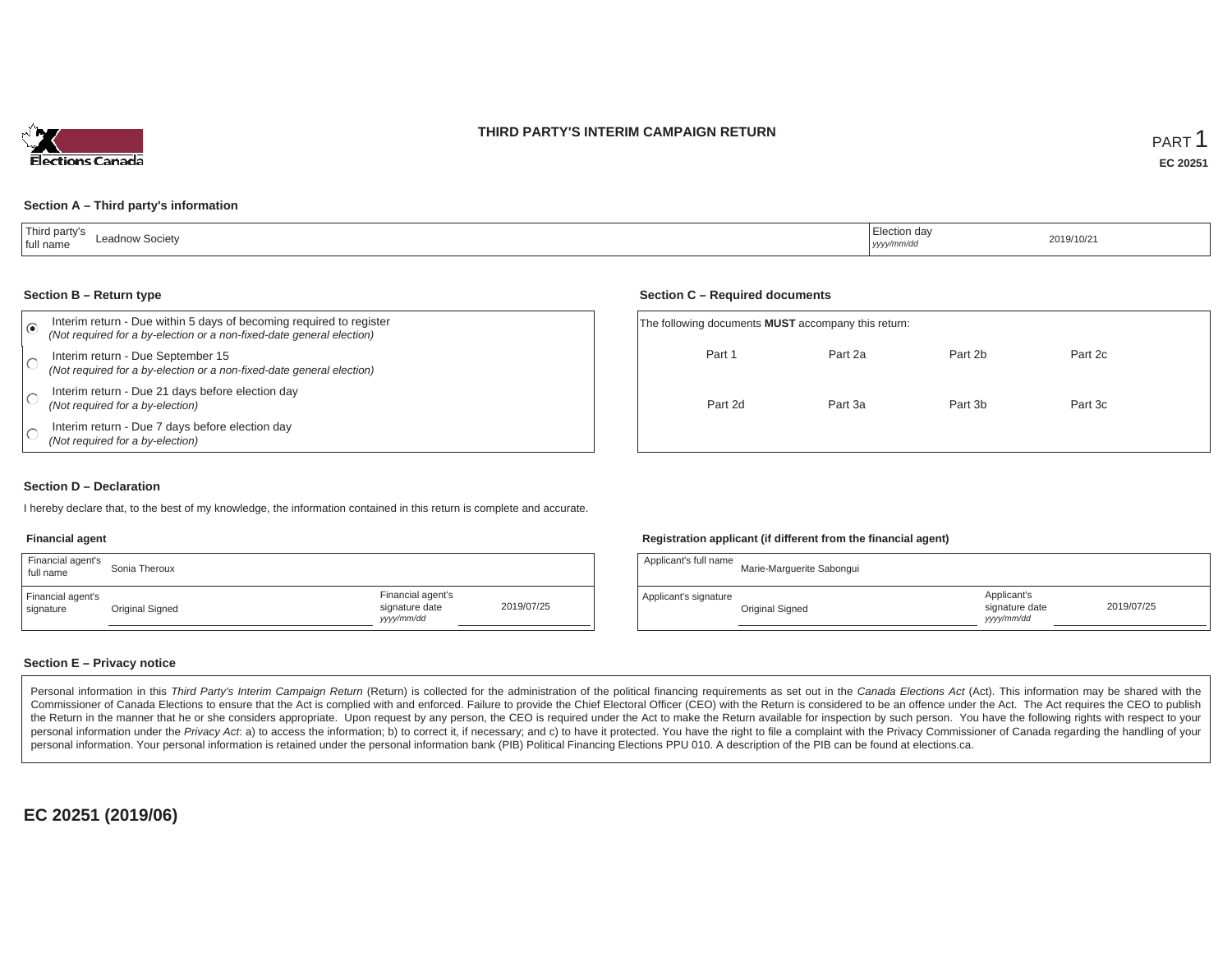### **THIRD PARTY'S INTERIM CAMPAIGN RETURN**



### **Section A – Third party's information**

| Third party's<br>Leadnow Societv<br>full name | .<br>  Election day<br>.<br>yyyy/mm/dd | 2019/10/21 |
|-----------------------------------------------|----------------------------------------|------------|
|-----------------------------------------------|----------------------------------------|------------|

#### **Section B – Return type**

| Interim return - Due within 5 days of becoming required to register<br>(Not required for a by-election or a non-fixed-date general election) |         | The following documents <b>MUST</b> accompany this return: |         |         |
|----------------------------------------------------------------------------------------------------------------------------------------------|---------|------------------------------------------------------------|---------|---------|
| Interim return - Due September 15<br>(Not required for a by-election or a non-fixed-date general election)                                   | Part 1  | Part 2a                                                    | Part 2b | Part 2c |
| Interim return - Due 21 days before election day<br>(Not required for a by-election)                                                         | Part 2d | Part 3a                                                    | Part 3b | Part 3c |
| Interim return - Due 7 days before election day<br>(Not required for a by-election)                                                          |         |                                                            |         |         |

### **Section D – Declaration**

I hereby declare that, to the best of my knowledge, the information contained in this return is complete and accurate.

#### **Financial agent**

| Financial agent's<br>full name | Sonia Theroux   |                                                   |            | Applicant's full name | Marie-Marguerite Sabongu |
|--------------------------------|-----------------|---------------------------------------------------|------------|-----------------------|--------------------------|
| Financial agent's<br>signature | Original Signed | Financial agent's<br>signature date<br>yyyy/mm/dd | 2019/07/25 | Applicant's signature | Original Signed          |

### **Registration applicant (if different from the financial agent)**

**Section C – Required documents**

| Sonia Theroux   |                                                   |            | Applicant's full name | Marie-Marguerite Sabongui |                                             |            |
|-----------------|---------------------------------------------------|------------|-----------------------|---------------------------|---------------------------------------------|------------|
| Original Signed | Financial agent's<br>signature date<br>yyyy/mm/dd | 2019/07/25 | Applicant's signature | Original Signed           | Applicant's<br>signature date<br>yyyy/mm/dd | 2019/07/25 |

### **Section E – Privacy notice**

Personal information in this Third Party's Interim Campaign Return (Return) is collected for the administration of the political financing requirements as set out in the Canada Elections Act (Act). This information may be Commissioner of Canada Elections to ensure that the Act is complied with and enforced. Failure to provide the Chief Electoral Officer (CEO) with the Return is considered to be an offence under the Act. The Act requires the the Return in the manner that he or she considers appropriate. Upon request by any person, the CEO is required under the Act to make the Return available for inspection by such person. You have the following rights with re personal information under the Privacy Act. a) to access the information; b) to correct it, if necessary; and c) to have it protected. You have the right to file a complaint with the Privacy Commissioner of Canada regardin personal information. Your personal information is retained under the personal information bank (PIB) Political Financing Elections PPU 010. A description of the PIB can be found at elections.ca.

**EC 20251 (2019/06)**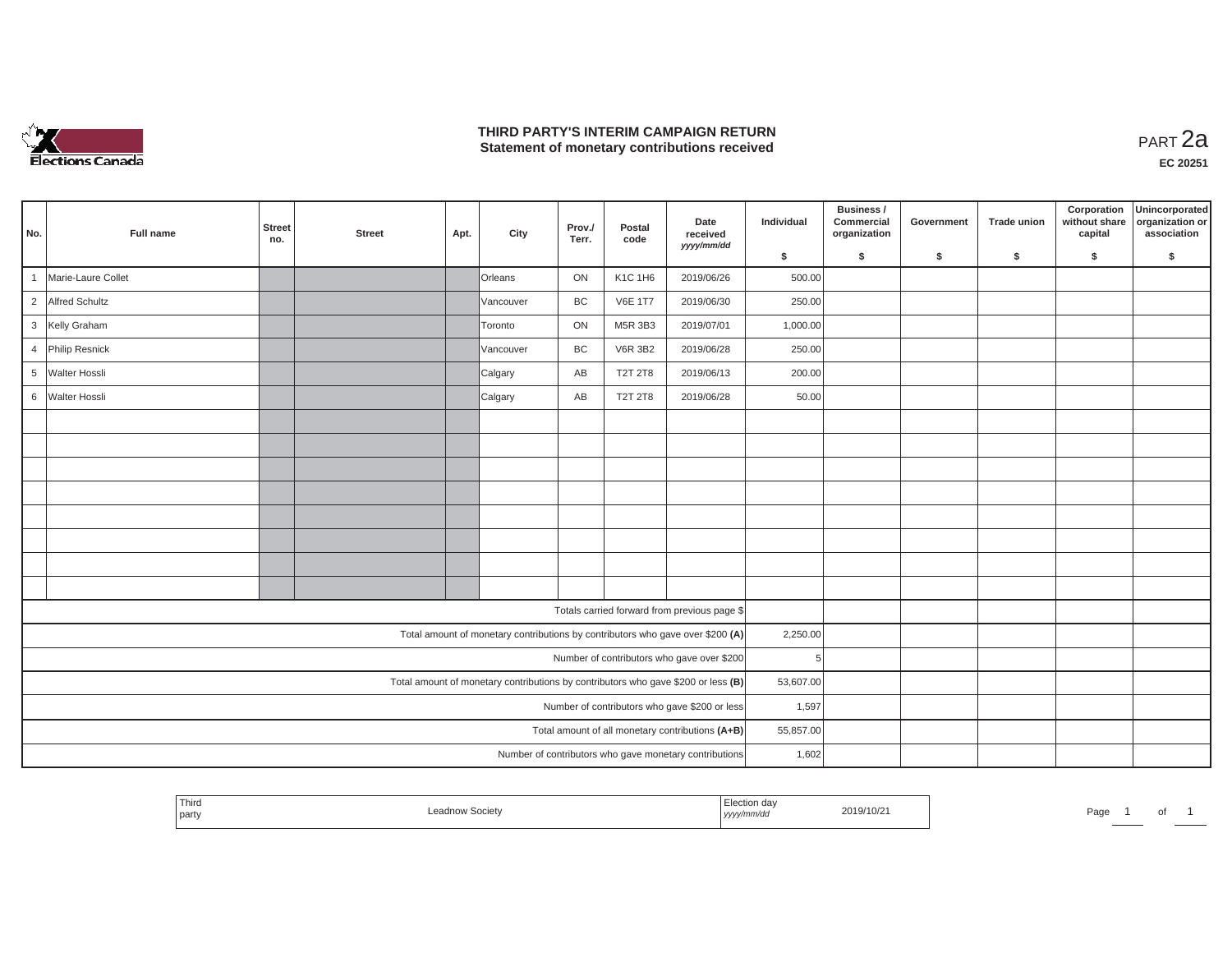

## **THIRD PARTY'S INTERIM CAMPAIGN RETURN THIRD PARTY'S INTERIM CAMPAIGN RETURN<br>Statement of monetary contributions received**

|                 |                      | <b>Street</b> |               |      |           | Prov./ | Postal         | Date                                                                              | Individual | Business /<br>Commercial | Government | <b>Trade union</b> | Corporation<br>without share | Unincorporated<br>organization or |
|-----------------|----------------------|---------------|---------------|------|-----------|--------|----------------|-----------------------------------------------------------------------------------|------------|--------------------------|------------|--------------------|------------------------------|-----------------------------------|
| No.             | <b>Full name</b>     | no.           | <b>Street</b> | Apt. | City      | Terr.  | code           | received<br>yyyy/mm/dd                                                            |            | organization             |            |                    | capital                      | association                       |
|                 |                      |               |               |      |           |        |                |                                                                                   | \$         | \$                       | \$         | \$                 | \$                           | \$                                |
| $\overline{1}$  | Marie-Laure Collet   |               |               |      | Orleans   | ON     | K1C 1H6        | 2019/06/26                                                                        | 500.00     |                          |            |                    |                              |                                   |
|                 | 2 Alfred Schultz     |               |               |      | Vancouver | BC     | <b>V6E 1T7</b> | 2019/06/30                                                                        | 250.00     |                          |            |                    |                              |                                   |
|                 | 3 Kelly Graham       |               |               |      | Toronto   | ON     | M5R 3B3        | 2019/07/01                                                                        | 1,000.00   |                          |            |                    |                              |                                   |
| $\overline{4}$  | Philip Resnick       |               |               |      | Vancouver | BC     | <b>V6R 3B2</b> | 2019/06/28                                                                        | 250.00     |                          |            |                    |                              |                                   |
| $5\overline{)}$ | <b>Walter Hossli</b> |               |               |      | Calgary   | AB     | <b>T2T 2T8</b> | 2019/06/13                                                                        | 200.00     |                          |            |                    |                              |                                   |
|                 | 6 Walter Hossli      |               |               |      | Calgary   | AB     | <b>T2T 2T8</b> | 2019/06/28                                                                        | 50.00      |                          |            |                    |                              |                                   |
|                 |                      |               |               |      |           |        |                |                                                                                   |            |                          |            |                    |                              |                                   |
|                 |                      |               |               |      |           |        |                |                                                                                   |            |                          |            |                    |                              |                                   |
|                 |                      |               |               |      |           |        |                |                                                                                   |            |                          |            |                    |                              |                                   |
|                 |                      |               |               |      |           |        |                |                                                                                   |            |                          |            |                    |                              |                                   |
|                 |                      |               |               |      |           |        |                |                                                                                   |            |                          |            |                    |                              |                                   |
|                 |                      |               |               |      |           |        |                |                                                                                   |            |                          |            |                    |                              |                                   |
|                 |                      |               |               |      |           |        |                |                                                                                   |            |                          |            |                    |                              |                                   |
|                 |                      |               |               |      |           |        |                |                                                                                   |            |                          |            |                    |                              |                                   |
|                 |                      |               |               |      |           |        |                | Totals carried forward from previous page \$                                      |            |                          |            |                    |                              |                                   |
|                 |                      |               |               |      |           |        |                | Total amount of monetary contributions by contributors who gave over \$200 (A)    | 2,250.00   |                          |            |                    |                              |                                   |
|                 |                      |               |               |      |           |        |                | Number of contributors who gave over \$200                                        | 5          |                          |            |                    |                              |                                   |
|                 |                      |               |               |      |           |        |                | Total amount of monetary contributions by contributors who gave \$200 or less (B) | 53,607.00  |                          |            |                    |                              |                                   |
|                 |                      |               |               |      |           |        |                | Number of contributors who gave \$200 or less                                     | 1,597      |                          |            |                    |                              |                                   |
|                 |                      |               |               |      |           |        |                | Total amount of all monetary contributions (A+B)                                  | 55,857.00  |                          |            |                    |                              |                                   |
|                 |                      |               |               |      |           |        |                | Number of contributors who gave monetary contributions                            | 1,602      |                          |            |                    |                              |                                   |

|  | Third<br>l party | societ | tion da<br>, <i>yyyyn</i> | 2019/10/21 | Page |  |  |  |
|--|------------------|--------|---------------------------|------------|------|--|--|--|
|--|------------------|--------|---------------------------|------------|------|--|--|--|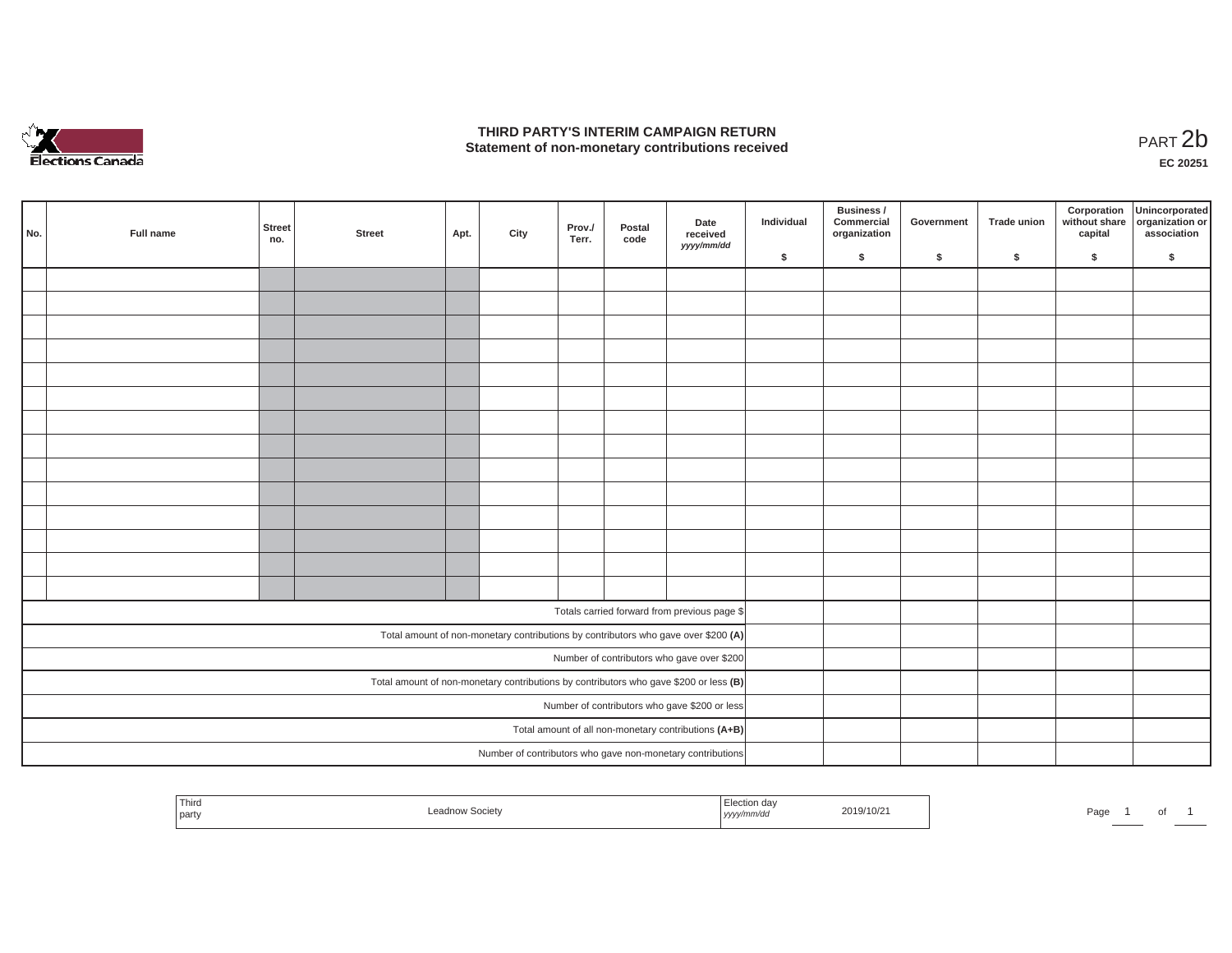

## **THIRD PARTY'S INTERIM CAMPAIGN RETURN STATE OF A STATE STATE STATE OF A STATE OF A STATE STATE STATE STATE STATE STATE STATE STATE STATE STATE STATE**<br>PART 2**b**

**EC 20251**

| No. | Full name | <b>Street</b><br>no. | <b>Street</b> | Apt. | City | Prov./<br>Terr. | Postal<br>code | Date<br>received<br>yyyy/mm/dd                                                        | Individual | Business /<br>Commercial<br>organization | Government | Trade union | Corporation<br>without share<br>capital | Unincorporated<br>organization or<br>association |
|-----|-----------|----------------------|---------------|------|------|-----------------|----------------|---------------------------------------------------------------------------------------|------------|------------------------------------------|------------|-------------|-----------------------------------------|--------------------------------------------------|
|     |           |                      |               |      |      |                 |                |                                                                                       | \$         | \$                                       | \$         | $\sqrt{2}$  | \$                                      | \$                                               |
|     |           |                      |               |      |      |                 |                |                                                                                       |            |                                          |            |             |                                         |                                                  |
|     |           |                      |               |      |      |                 |                |                                                                                       |            |                                          |            |             |                                         |                                                  |
|     |           |                      |               |      |      |                 |                |                                                                                       |            |                                          |            |             |                                         |                                                  |
|     |           |                      |               |      |      |                 |                |                                                                                       |            |                                          |            |             |                                         |                                                  |
|     |           |                      |               |      |      |                 |                |                                                                                       |            |                                          |            |             |                                         |                                                  |
|     |           |                      |               |      |      |                 |                |                                                                                       |            |                                          |            |             |                                         |                                                  |
|     |           |                      |               |      |      |                 |                |                                                                                       |            |                                          |            |             |                                         |                                                  |
|     |           |                      |               |      |      |                 |                |                                                                                       |            |                                          |            |             |                                         |                                                  |
|     |           |                      |               |      |      |                 |                |                                                                                       |            |                                          |            |             |                                         |                                                  |
|     |           |                      |               |      |      |                 |                |                                                                                       |            |                                          |            |             |                                         |                                                  |
|     |           |                      |               |      |      |                 |                |                                                                                       |            |                                          |            |             |                                         |                                                  |
|     |           |                      |               |      |      |                 |                |                                                                                       |            |                                          |            |             |                                         |                                                  |
|     |           |                      |               |      |      |                 |                |                                                                                       |            |                                          |            |             |                                         |                                                  |
|     |           |                      |               |      |      |                 |                |                                                                                       |            |                                          |            |             |                                         |                                                  |
|     |           |                      |               |      |      |                 |                | Totals carried forward from previous page \$                                          |            |                                          |            |             |                                         |                                                  |
|     |           |                      |               |      |      |                 |                | Total amount of non-monetary contributions by contributors who gave over \$200 (A)    |            |                                          |            |             |                                         |                                                  |
|     |           |                      |               |      |      |                 |                | Number of contributors who gave over \$200                                            |            |                                          |            |             |                                         |                                                  |
|     |           |                      |               |      |      |                 |                | Total amount of non-monetary contributions by contributors who gave \$200 or less (B) |            |                                          |            |             |                                         |                                                  |
|     |           |                      |               |      |      |                 |                | Number of contributors who gave \$200 or less                                         |            |                                          |            |             |                                         |                                                  |
|     |           |                      |               |      |      |                 |                | Total amount of all non-monetary contributions (A+B)                                  |            |                                          |            |             |                                         |                                                  |
|     |           |                      |               |      |      |                 |                | Number of contributors who gave non-monetary contributions                            |            |                                          |            |             |                                         |                                                  |

| Thira<br>Leadnow Societv<br>l party | Election day<br>2019/10/21<br>yyyy/mm/dd | Page<br>_____ |
|-------------------------------------|------------------------------------------|---------------|
|-------------------------------------|------------------------------------------|---------------|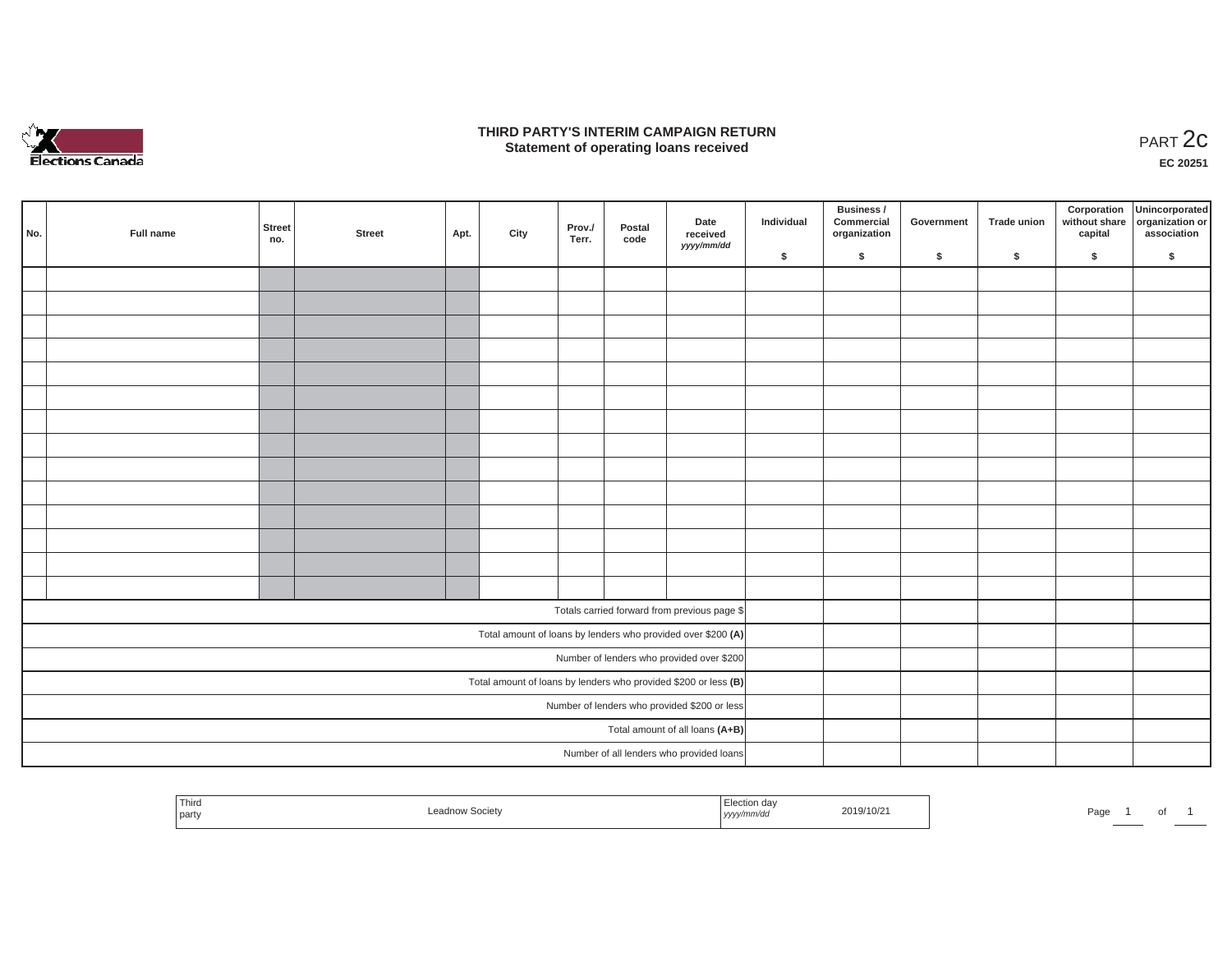

### **THIRD PARTY'S INTERIM CAMPAIGN RETURN**  RD PARTY'S INTERIM CAMPAIGN RETURN<br>Statement of operating loans received **PART 2c**

**EC 20251**

| No.                                          | Full name | Street<br>no. | <b>Street</b> | Apt. | City | Prov./<br>Terr. | Postal<br>code | Date<br>received<br>yyyy/mm/dd                                    | Individual | Business /<br>Commercial<br>organization | Government | Trade union | Corporation<br>capital | Unincorporated<br>without share organization or<br>association |
|----------------------------------------------|-----------|---------------|---------------|------|------|-----------------|----------------|-------------------------------------------------------------------|------------|------------------------------------------|------------|-------------|------------------------|----------------------------------------------------------------|
|                                              |           |               |               |      |      |                 |                |                                                                   | \$         | $\mathsf{s}$                             | \$         | \$          | \$                     | \$                                                             |
|                                              |           |               |               |      |      |                 |                |                                                                   |            |                                          |            |             |                        |                                                                |
|                                              |           |               |               |      |      |                 |                |                                                                   |            |                                          |            |             |                        |                                                                |
|                                              |           |               |               |      |      |                 |                |                                                                   |            |                                          |            |             |                        |                                                                |
|                                              |           |               |               |      |      |                 |                |                                                                   |            |                                          |            |             |                        |                                                                |
|                                              |           |               |               |      |      |                 |                |                                                                   |            |                                          |            |             |                        |                                                                |
|                                              |           |               |               |      |      |                 |                |                                                                   |            |                                          |            |             |                        |                                                                |
|                                              |           |               |               |      |      |                 |                |                                                                   |            |                                          |            |             |                        |                                                                |
|                                              |           |               |               |      |      |                 |                |                                                                   |            |                                          |            |             |                        |                                                                |
|                                              |           |               |               |      |      |                 |                |                                                                   |            |                                          |            |             |                        |                                                                |
|                                              |           |               |               |      |      |                 |                |                                                                   |            |                                          |            |             |                        |                                                                |
|                                              |           |               |               |      |      |                 |                |                                                                   |            |                                          |            |             |                        |                                                                |
|                                              |           |               |               |      |      |                 |                |                                                                   |            |                                          |            |             |                        |                                                                |
|                                              |           |               |               |      |      |                 |                |                                                                   |            |                                          |            |             |                        |                                                                |
|                                              |           |               |               |      |      |                 |                |                                                                   |            |                                          |            |             |                        |                                                                |
|                                              |           |               |               |      |      |                 |                | Totals carried forward from previous page \$                      |            |                                          |            |             |                        |                                                                |
|                                              |           |               |               |      |      |                 |                | Total amount of loans by lenders who provided over \$200 (A)      |            |                                          |            |             |                        |                                                                |
|                                              |           |               |               |      |      |                 |                | Number of lenders who provided over \$200                         |            |                                          |            |             |                        |                                                                |
|                                              |           |               |               |      |      |                 |                | Total amount of loans by lenders who provided \$200 or less $(B)$ |            |                                          |            |             |                        |                                                                |
| Number of lenders who provided \$200 or less |           |               |               |      |      |                 |                |                                                                   |            |                                          |            |             |                        |                                                                |
|                                              |           |               |               |      |      |                 |                | Total amount of all loans (A+B)                                   |            |                                          |            |             |                        |                                                                |
|                                              |           |               |               |      |      |                 |                | Number of all lenders who provided loans                          |            |                                          |            |             |                        |                                                                |

| ' Third<br>party |  | …un dav<br>.<br>, <i>yyyyır</i> | 2019/10/z | the property of the control of the control of the control of the control of<br>Page |  |  |  |
|------------------|--|---------------------------------|-----------|-------------------------------------------------------------------------------------|--|--|--|
|------------------|--|---------------------------------|-----------|-------------------------------------------------------------------------------------|--|--|--|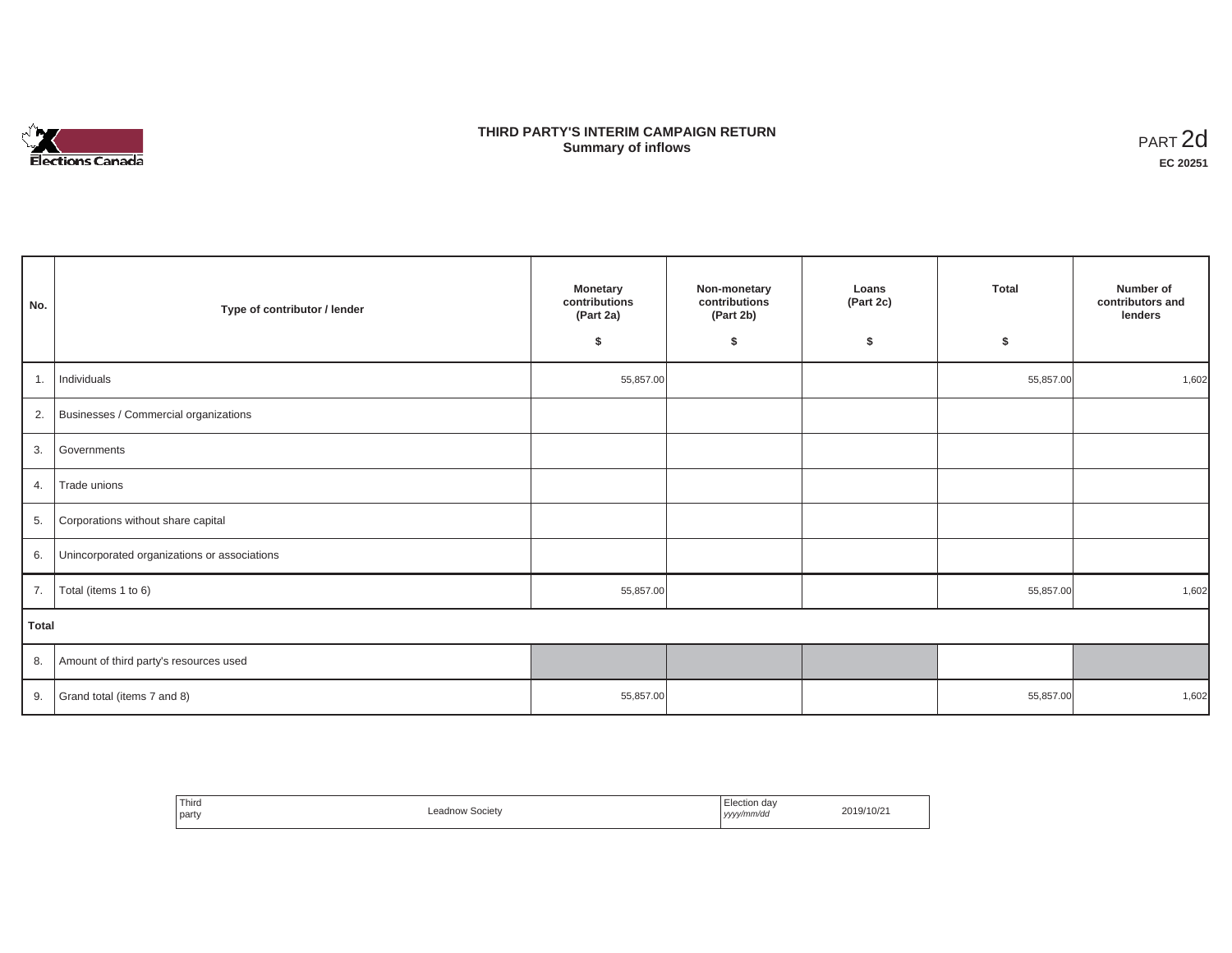

## **THIRD PARTY'S INTERIM CAMPAIGN RETURN SUMMARY STATE SUMMARY OF A SUMMARY OF A SUMMARY OF A SUMMARY OF A SUMMARY OF A SUMMARY OF A SUMMARY OF A SUMMA**<br> **Summary of inflows**

| No.   | Type of contributor / lender                    | <b>Monetary</b><br>contributions<br>(Part 2a)<br>\$ | Non-monetary<br>contributions<br>(Part 2b)<br>s. | Loans<br>(Part 2c)<br>\$ | <b>Total</b><br>\$ | Number of<br>contributors and<br>lenders |
|-------|-------------------------------------------------|-----------------------------------------------------|--------------------------------------------------|--------------------------|--------------------|------------------------------------------|
| 1.    | Individuals                                     | 55,857.00                                           |                                                  |                          | 55,857.00          | 1,602                                    |
|       | 2. Businesses / Commercial organizations        |                                                     |                                                  |                          |                    |                                          |
|       | 3. Governments                                  |                                                     |                                                  |                          |                    |                                          |
| 4.    | Trade unions                                    |                                                     |                                                  |                          |                    |                                          |
| 5.    | Corporations without share capital              |                                                     |                                                  |                          |                    |                                          |
|       | 6. Unincorporated organizations or associations |                                                     |                                                  |                          |                    |                                          |
| 7.    | Total (items 1 to 6)                            | 55,857.00                                           |                                                  |                          | 55,857.00          | 1,602                                    |
| Total |                                                 |                                                     |                                                  |                          |                    |                                          |
|       | 8. Amount of third party's resources used       |                                                     |                                                  |                          |                    |                                          |
|       | 9. Grand total (items $7$ and 8)                | 55,857.00                                           |                                                  |                          | 55,857.00          | 1,602                                    |

| Third<br>party | <b>Leadnow Society</b><br>. | Election day<br>.<br>$\sim$<br>yyyy/mm/dd<br>. | 2019/10/2 |
|----------------|-----------------------------|------------------------------------------------|-----------|
|----------------|-----------------------------|------------------------------------------------|-----------|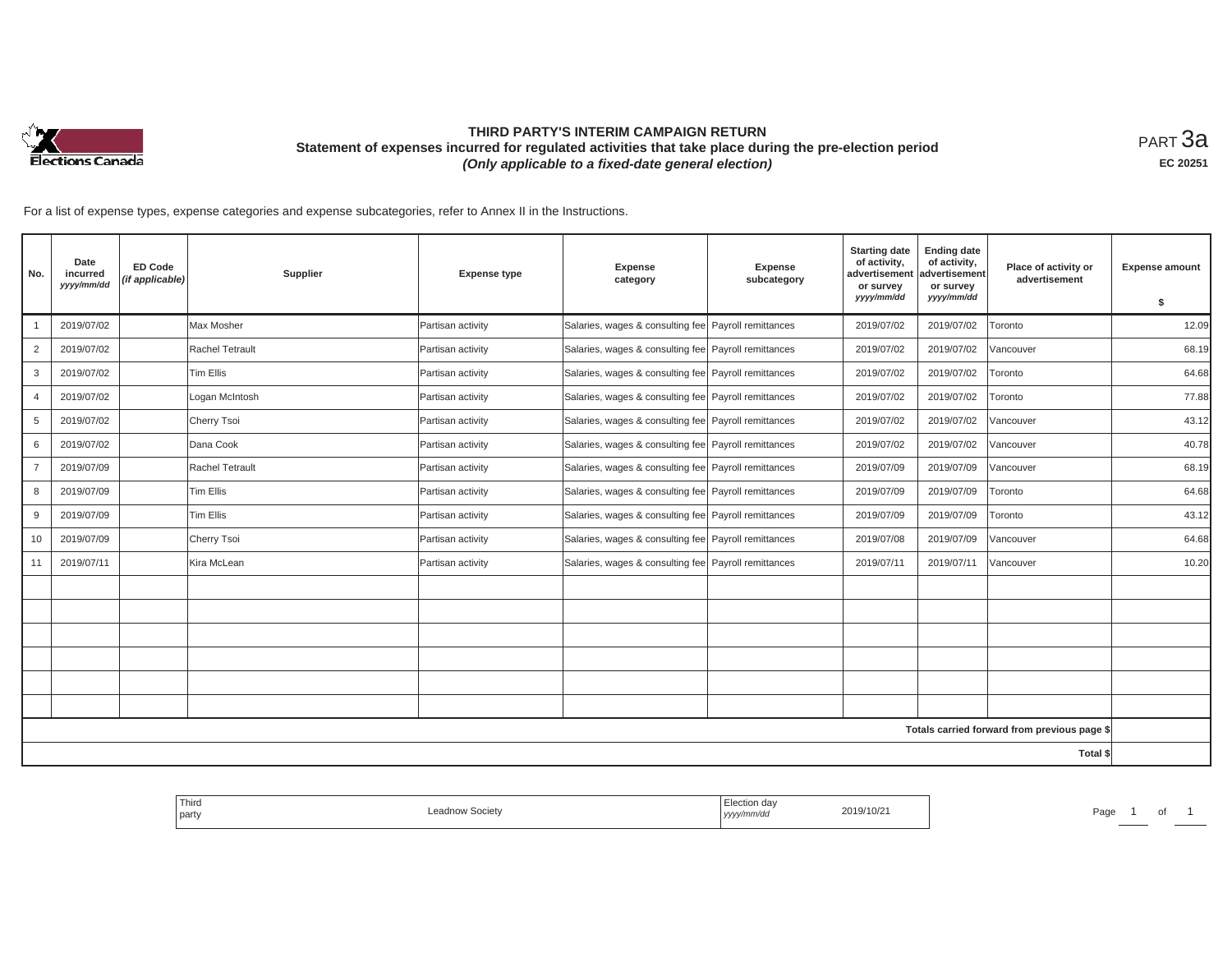

# **THIRD PARTY'S INTERIM CAMPAIGN RETURN Statement of expenses incurred for regulated activities that take place during the pre-election period**  *(Only applicable to a fixed-date general election)*

<code>PART $3$ a</code> **EC 20251**

For a list of expense types, expense categories and expense subcategories, refer to Annex II in the Instructions.

| No.            | Date<br>incurred<br>yyyy/mm/dd | <b>ED Code</b><br>(if applicable) | Supplier         | <b>Expense type</b> | <b>Expense</b><br>category                             | Expense<br>subcategory | <b>Starting date</b><br>of activity,<br>advertisement<br>or survey<br>yyyy/mm/dd | <b>Ending date</b><br>of activity,<br>advertisement<br>or survey<br>yyyy/mm/dd | Place of activity or<br>advertisement        | <b>Expense amount</b> |
|----------------|--------------------------------|-----------------------------------|------------------|---------------------|--------------------------------------------------------|------------------------|----------------------------------------------------------------------------------|--------------------------------------------------------------------------------|----------------------------------------------|-----------------------|
|                | 2019/07/02                     |                                   | Max Mosher       | Partisan activity   | Salaries, wages & consulting fee   Payroll remittances |                        | 2019/07/02                                                                       | 2019/07/02                                                                     | Toronto                                      | \$<br>12.09           |
| $\overline{2}$ | 2019/07/02                     |                                   | Rachel Tetrault  | Partisan activity   | Salaries, wages & consulting fee Payroll remittances   |                        | 2019/07/02                                                                       | 2019/07/02                                                                     | Vancouver                                    | 68.19                 |
| 3              | 2019/07/02                     |                                   | <b>Tim Ellis</b> | Partisan activity   | Salaries, wages & consulting fee   Payroll remittances |                        | 2019/07/02                                                                       | 2019/07/02                                                                     | Toronto                                      | 64.68                 |
| $\overline{4}$ | 2019/07/02                     |                                   | Logan McIntosh   | Partisan activity   | Salaries, wages & consulting fee Payroll remittances   |                        | 2019/07/02                                                                       | 2019/07/02                                                                     | Toronto                                      | 77.88                 |
| 5              | 2019/07/02                     |                                   | Cherry Tsoi      | Partisan activity   | Salaries, wages & consulting fee Payroll remittances   |                        | 2019/07/02                                                                       | 2019/07/02                                                                     | Vancouver                                    | 43.12                 |
| 6              | 2019/07/02                     |                                   | Dana Cook        | Partisan activity   | Salaries, wages & consulting fee Payroll remittances   |                        | 2019/07/02                                                                       | 2019/07/02                                                                     | Vancouver                                    | 40.78                 |
| $\overline{7}$ | 2019/07/09                     |                                   | Rachel Tetrault  | Partisan activity   | Salaries, wages & consulting fee   Payroll remittances |                        | 2019/07/09                                                                       | 2019/07/09                                                                     | Vancouver                                    | 68.19                 |
| 8              | 2019/07/09                     |                                   | <b>Tim Ellis</b> | Partisan activity   | Salaries, wages & consulting fee Payroll remittances   |                        | 2019/07/09                                                                       | 2019/07/09                                                                     | Toronto                                      | 64.68                 |
| 9              | 2019/07/09                     |                                   | <b>Tim Ellis</b> | Partisan activity   | Salaries, wages & consulting fee Payroll remittances   |                        | 2019/07/09                                                                       | 2019/07/09                                                                     | Toronto                                      | 43.12                 |
| 10             | 2019/07/09                     |                                   | Cherry Tsoi      | Partisan activity   | Salaries, wages & consulting fee   Payroll remittances |                        | 2019/07/08                                                                       | 2019/07/09                                                                     | Vancouver                                    | 64.68                 |
| 11             | 2019/07/11                     |                                   | Kira McLean      | Partisan activity   | Salaries, wages & consulting fee   Payroll remittances |                        | 2019/07/11                                                                       | 2019/07/11                                                                     | Vancouver                                    | 10.20                 |
|                |                                |                                   |                  |                     |                                                        |                        |                                                                                  |                                                                                |                                              |                       |
|                |                                |                                   |                  |                     |                                                        |                        |                                                                                  |                                                                                |                                              |                       |
|                |                                |                                   |                  |                     |                                                        |                        |                                                                                  |                                                                                |                                              |                       |
|                |                                |                                   |                  |                     |                                                        |                        |                                                                                  |                                                                                |                                              |                       |
|                |                                |                                   |                  |                     |                                                        |                        |                                                                                  |                                                                                |                                              |                       |
|                |                                |                                   |                  |                     |                                                        |                        |                                                                                  |                                                                                |                                              |                       |
|                |                                |                                   |                  |                     |                                                        |                        |                                                                                  |                                                                                | Totals carried forward from previous page \$ |                       |
|                |                                |                                   |                  |                     |                                                        |                        |                                                                                  |                                                                                | Total \$                                     |                       |

| 2019/10/21<br>Leadnow Societv<br>Page<br>  party<br>, yyyy/mm/dd<br>. | <sup>1</sup> Thira |  | Election day |  |
|-----------------------------------------------------------------------|--------------------|--|--------------|--|
|-----------------------------------------------------------------------|--------------------|--|--------------|--|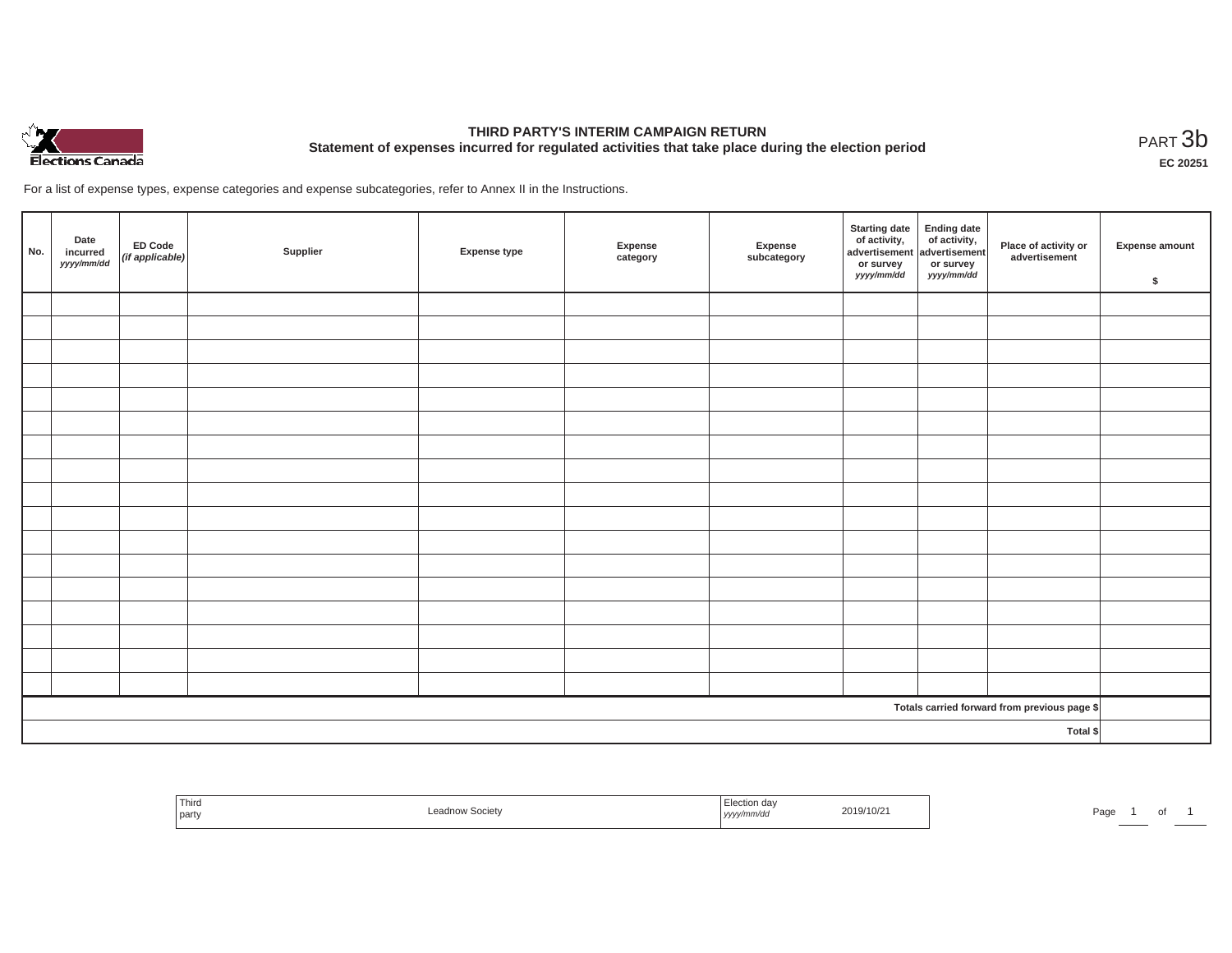

# **THIRD PARTY'S INTERIM CAMPAIGN RETURN Statement of expenses incurred for regulated activities that take place during the election period**<br>PART  $3b$

**EC 20251**

For a list of expense types, expense categories and expense subcategories, refer to Annex II in the Instructions.

| No.      | Date<br>incurred<br>yyyy/mm/dd | ED Code<br>(if applicable) | Supplier | Expense type | Expense<br>category | Expense<br>subcategory | <b>Starting date</b><br>of activity,<br>advertisement<br>or survey<br>yyyy/mm/dd | Ending date<br>of activity,<br>advertisement<br>or survey<br>yyyy/mm/dd | Place of activity or<br>advertisement        | Expense amount<br>\$ |
|----------|--------------------------------|----------------------------|----------|--------------|---------------------|------------------------|----------------------------------------------------------------------------------|-------------------------------------------------------------------------|----------------------------------------------|----------------------|
|          |                                |                            |          |              |                     |                        |                                                                                  |                                                                         |                                              |                      |
|          |                                |                            |          |              |                     |                        |                                                                                  |                                                                         |                                              |                      |
|          |                                |                            |          |              |                     |                        |                                                                                  |                                                                         |                                              |                      |
|          |                                |                            |          |              |                     |                        |                                                                                  |                                                                         |                                              |                      |
|          |                                |                            |          |              |                     |                        |                                                                                  |                                                                         |                                              |                      |
|          |                                |                            |          |              |                     |                        |                                                                                  |                                                                         |                                              |                      |
|          |                                |                            |          |              |                     |                        |                                                                                  |                                                                         |                                              |                      |
|          |                                |                            |          |              |                     |                        |                                                                                  |                                                                         |                                              |                      |
|          |                                |                            |          |              |                     |                        |                                                                                  |                                                                         |                                              |                      |
|          |                                |                            |          |              |                     |                        |                                                                                  |                                                                         |                                              |                      |
|          |                                |                            |          |              |                     |                        |                                                                                  |                                                                         |                                              |                      |
|          |                                |                            |          |              |                     |                        |                                                                                  |                                                                         |                                              |                      |
|          |                                |                            |          |              |                     |                        |                                                                                  |                                                                         |                                              |                      |
|          |                                |                            |          |              |                     |                        |                                                                                  |                                                                         |                                              |                      |
|          |                                |                            |          |              |                     |                        |                                                                                  |                                                                         |                                              |                      |
|          |                                |                            |          |              |                     |                        |                                                                                  |                                                                         |                                              |                      |
|          |                                |                            |          |              |                     |                        |                                                                                  |                                                                         |                                              |                      |
|          |                                |                            |          |              |                     |                        |                                                                                  |                                                                         | Totals carried forward from previous page \$ |                      |
| Total \$ |                                |                            |          |              |                     |                        |                                                                                  |                                                                         |                                              |                      |

| <sup>I</sup> Third<br>the control of the con-<br>party | Leadnow Societv | Election day<br>2019/10/21<br>.<br>yyyy/mm/dd | Page |
|--------------------------------------------------------|-----------------|-----------------------------------------------|------|
|--------------------------------------------------------|-----------------|-----------------------------------------------|------|